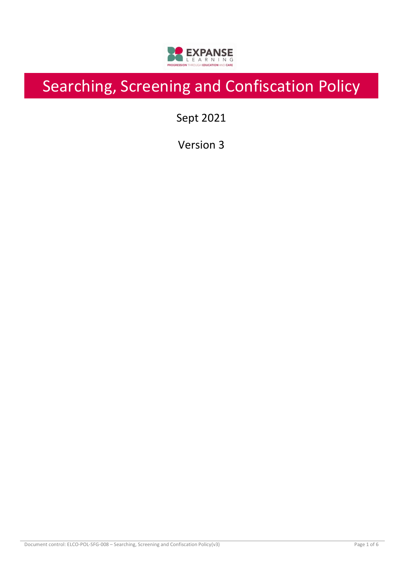

# Searching, Screening and Confiscation Policy

Sept 2021

Version 3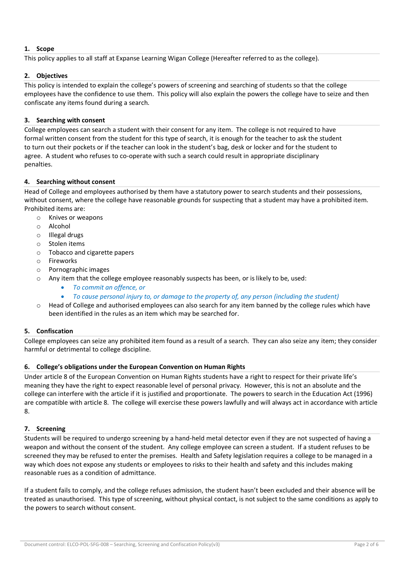# **1. Scope**

This policy applies to all staff at Expanse Learning Wigan College (Hereafter referred to as the college).

# **2. Objectives**

This policy is intended to explain the college's powers of screening and searching of students so that the college employees have the confidence to use them. This policy will also explain the powers the college have to seize and then confiscate any items found during a search.

# **3. Searching with consent**

College employees can search a student with their consent for any item. The college is not required to have formal written consent from the student for this type of search, it is enough for the teacher to ask the student to turn out their pockets or if the teacher can look in the student's bag, desk or locker and for the student to agree. A student who refuses to co-operate with such a search could result in appropriate disciplinary penalties.

# **4. Searching without consent**

Head of College and employees authorised by them have a statutory power to search students and their possessions, without consent, where the college have reasonable grounds for suspecting that a student may have a prohibited item. Prohibited items are:

- o Knives or weapons
- o Alcohol
- o Illegal drugs
- o Stolen items
- o Tobacco and cigarette papers
- o Fireworks
- o Pornographic images
- o Any item that the college employee reasonably suspects has been, or is likely to be, used:
	- *To commit an offence, or*
	- *To cause personal injury to, or damage to the property of, any person (including the student)*
- Head of College and authorised employees can also search for any item banned by the college rules which have been identified in the rules as an item which may be searched for.

# **5. Confiscation**

College employees can seize any prohibited item found as a result of a search. They can also seize any item; they consider harmful or detrimental to college discipline.

# **6. College's obligations under the European Convention on Human Rights**

Under article 8 of the European Convention on Human Rights students have a right to respect for their private life's meaning they have the right to expect reasonable level of personal privacy. However, this is not an absolute and the college can interfere with the article if it is justified and proportionate. The powers to search in the Education Act (1996) are compatible with article 8. The college will exercise these powers lawfully and will always act in accordance with article 8.

# **7. Screening**

Students will be required to undergo screening by a hand-held metal detector even if they are not suspected of having a weapon and without the consent of the student. Any college employee can screen a student. If a student refuses to be screened they may be refused to enter the premises. Health and Safety legislation requires a college to be managed in a way which does not expose any students or employees to risks to their health and safety and this includes making reasonable rues as a condition of admittance.

If a student fails to comply, and the college refuses admission, the student hasn't been excluded and their absence will be treated as unauthorised. This type of screening, without physical contact, is not subject to the same conditions as apply to the powers to search without consent.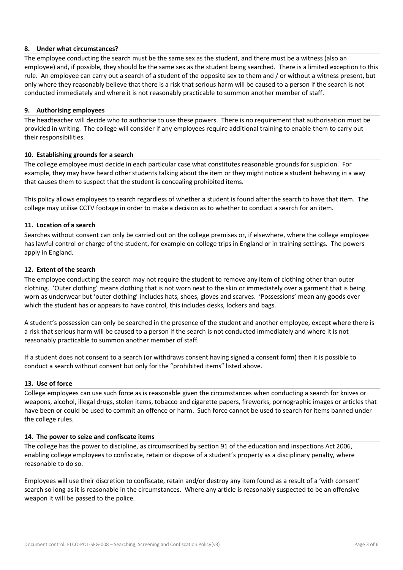# **8. Under what circumstances?**

The employee conducting the search must be the same sex as the student, and there must be a witness (also an employee) and, if possible, they should be the same sex as the student being searched. There is a limited exception to this rule. An employee can carry out a search of a student of the opposite sex to them and / or without a witness present, but only where they reasonably believe that there is a risk that serious harm will be caused to a person if the search is not conducted immediately and where it is not reasonably practicable to summon another member of staff.

### **9. Authorising employees**

The headteacher will decide who to authorise to use these powers. There is no requirement that authorisation must be provided in writing. The college will consider if any employees require additional training to enable them to carry out their responsibilities.

#### **10. Establishing grounds for a search**

The college employee must decide in each particular case what constitutes reasonable grounds for suspicion. For example, they may have heard other students talking about the item or they might notice a student behaving in a way that causes them to suspect that the student is concealing prohibited items.

This policy allows employees to search regardless of whether a student is found after the search to have that item. The college may utilise CCTV footage in order to make a decision as to whether to conduct a search for an item.

#### **11. Location of a search**

Searches without consent can only be carried out on the college premises or, if elsewhere, where the college employee has lawful control or charge of the student, for example on college trips in England or in training settings. The powers apply in England.

#### **12. Extent of the search**

The employee conducting the search may not require the student to remove any item of clothing other than outer clothing. 'Outer clothing' means clothing that is not worn next to the skin or immediately over a garment that is being worn as underwear but 'outer clothing' includes hats, shoes, gloves and scarves. 'Possessions' mean any goods over which the student has or appears to have control, this includes desks, lockers and bags.

A student's possession can only be searched in the presence of the student and another employee, except where there is a risk that serious harm will be caused to a person if the search is not conducted immediately and where it is not reasonably practicable to summon another member of staff.

If a student does not consent to a search (or withdraws consent having signed a consent form) then it is possible to conduct a search without consent but only for the "prohibited items" listed above.

#### **13. Use of force**

College employees can use such force as is reasonable given the circumstances when conducting a search for knives or weapons, alcohol, illegal drugs, stolen items, tobacco and cigarette papers, fireworks, pornographic images or articles that have been or could be used to commit an offence or harm. Such force cannot be used to search for items banned under the college rules.

#### **14. The power to seize and confiscate items**

The college has the power to discipline, as circumscribed by section 91 of the education and inspections Act 2006, enabling college employees to confiscate, retain or dispose of a student's property as a disciplinary penalty, where reasonable to do so.

Employees will use their discretion to confiscate, retain and/or destroy any item found as a result of a 'with consent' search so long as it is reasonable in the circumstances. Where any article is reasonably suspected to be an offensive weapon it will be passed to the police.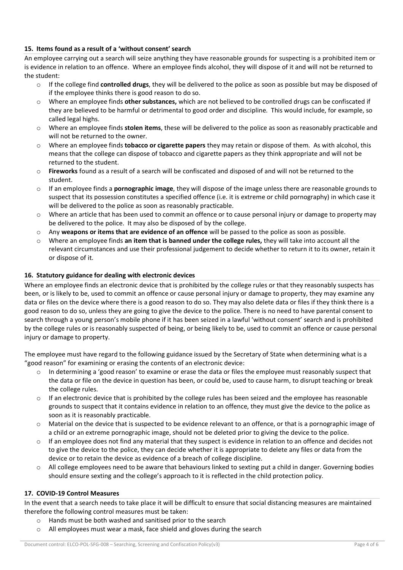# **15. Items found as a result of a 'without consent' search**

An employee carrying out a search will seize anything they have reasonable grounds for suspecting is a prohibited item or is evidence in relation to an offence. Where an employee finds alcohol, they will dispose of it and will not be returned to the student:

- o If the college find **controlled drugs**, they will be delivered to the police as soon as possible but may be disposed of if the employee thinks there is good reason to do so.
- o Where an employee finds **other substances,** which are not believed to be controlled drugs can be confiscated if they are believed to be harmful or detrimental to good order and discipline. This would include, for example, so called legal highs.
- o Where an employee finds **stolen items**, these will be delivered to the police as soon as reasonably practicable and will not be returned to the owner.
- o Where an employee finds **tobacco or cigarette papers** they may retain or dispose of them. As with alcohol, this means that the college can dispose of tobacco and cigarette papers as they think appropriate and will not be returned to the student.
- o **Fireworks** found as a result of a search will be confiscated and disposed of and will not be returned to the student.
- o If an employee finds a **pornographic image**, they will dispose of the image unless there are reasonable grounds to suspect that its possession constitutes a specified offence (i.e. it is extreme or child pornography) in which case it will be delivered to the police as soon as reasonably practicable.
- o Where an article that has been used to commit an offence or to cause personal injury or damage to property may be delivered to the police. It may also be disposed of by the college.
- o Any **weapons or items that are evidence of an offence** will be passed to the police as soon as possible.
- o Where an employee finds **an item that is banned under the college rules,** they will take into account all the relevant circumstances and use their professional judgement to decide whether to return it to its owner, retain it or dispose of it.

# **16. Statutory guidance for dealing with electronic devices**

Where an employee finds an electronic device that is prohibited by the college rules or that they reasonably suspects has been, or is likely to be, used to commit an offence or cause personal injury or damage to property, they may examine any data or files on the device where there is a good reason to do so. They may also delete data or files if they think there is a good reason to do so, unless they are going to give the device to the police. There is no need to have parental consent to search through a young person's mobile phone if it has been seized in a lawful 'without consent' search and is prohibited by the college rules or is reasonably suspected of being, or being likely to be, used to commit an offence or cause personal injury or damage to property.

The employee must have regard to the following guidance issued by the Secretary of State when determining what is a "good reason" for examining or erasing the contents of an electronic device:

- In determining a 'good reason' to examine or erase the data or files the employee must reasonably suspect that the data or file on the device in question has been, or could be, used to cause harm, to disrupt teaching or break the college rules.
- $\circ$  If an electronic device that is prohibited by the college rules has been seized and the employee has reasonable grounds to suspect that it contains evidence in relation to an offence, they must give the device to the police as soon as it is reasonably practicable.
- o Material on the device that is suspected to be evidence relevant to an offence, or that is a pornographic image of a child or an extreme pornographic image, should not be deleted prior to giving the device to the police.
- $\circ$  If an employee does not find any material that they suspect is evidence in relation to an offence and decides not to give the device to the police, they can decide whether it is appropriate to delete any files or data from the device or to retain the device as evidence of a breach of college discipline.
- $\circ$  All college employees need to be aware that behaviours linked to sexting put a child in danger. Governing bodies should ensure sexting and the college's approach to it is reflected in the child protection policy.

#### **17. COVID-19 Control Measures**

In the event that a search needs to take place it will be difficult to ensure that social distancing measures are maintained therefore the following control measures must be taken:

- o Hands must be both washed and sanitised prior to the search
- o All employees must wear a mask, face shield and gloves during the search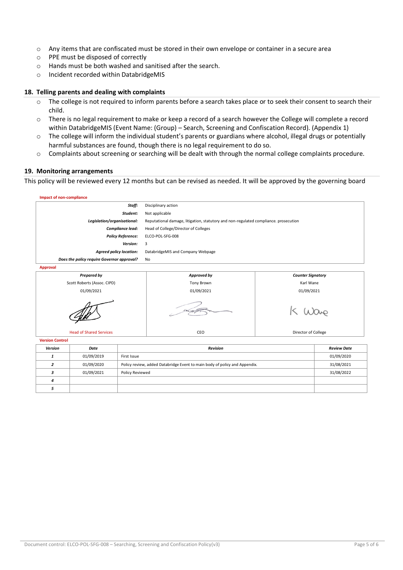- o Any items that are confiscated must be stored in their own envelope or container in a secure area
- o PPE must be disposed of correctly
- o Hands must be both washed and sanitised after the search.
- o Incident recorded within DatabridgeMIS

#### **18. Telling parents and dealing with complaints**

- o The college is not required to inform parents before a search takes place or to seek their consent to search their child.
- o There is no legal requirement to make or keep a record of a search however the College will complete a record within DatabridgeMIS (Event Name: (Group) – Search, Screening and Confiscation Record). (Appendix 1)
- $\circ$  The college will inform the individual student's parents or guardians where alcohol, illegal drugs or potentially harmful substances are found, though there is no legal requirement to do so.
- o Complaints about screening or searching will be dealt with through the normal college complaints procedure.

#### **19. Monitoring arrangements**

This policy will be reviewed every 12 months but can be revised as needed. It will be approved by the governing board

| Impact of non-compliance                   |                                                                                      |                          |  |  |  |
|--------------------------------------------|--------------------------------------------------------------------------------------|--------------------------|--|--|--|
| Staff:                                     | Disciplinary action                                                                  |                          |  |  |  |
| Student:                                   | Not applicable                                                                       |                          |  |  |  |
| Legislation/organisational:                | Reputational damage, litigation, statutory and non-regulated compliance. prosecution |                          |  |  |  |
| Compliance lead:                           | Head of College/Director of Colleges                                                 |                          |  |  |  |
| <b>Policy Reference:</b>                   | ELCO-POL-SFG-008                                                                     |                          |  |  |  |
| Version:                                   | 3                                                                                    |                          |  |  |  |
| <b>Agreed policy location:</b>             | DatabridgeMIS and Company Webpage                                                    |                          |  |  |  |
| Does the policy require Governor approval? | No                                                                                   |                          |  |  |  |
| Approval                                   |                                                                                      |                          |  |  |  |
| <b>Prepared by</b>                         | Approved by                                                                          | <b>Counter Signatory</b> |  |  |  |
| Scott Roberts (Assoc. CIPD)                | <b>Tony Brown</b>                                                                    | Karl Wane                |  |  |  |
| 01/09/2021                                 | 01/09/2021<br>01/09/2021                                                             |                          |  |  |  |





 $k(\omega)$ 

Head of Shared Services **CEO** CEO **Director of College** 

| <b>Version Control</b> |            |                                                                            |                    |
|------------------------|------------|----------------------------------------------------------------------------|--------------------|
| Version                | Date       | <b>Revision</b>                                                            | <b>Review Date</b> |
|                        | 01/09/2019 | First Issue                                                                | 01/09/2020         |
|                        | 01/09/2020 | Policy review, added Databridge Event to main body of policy and Appendix. | 31/08/2021         |
|                        | 01/09/2021 | Policy Reviewed                                                            | 31/08/2022         |
| $\boldsymbol{a}$       |            |                                                                            |                    |
|                        |            |                                                                            |                    |